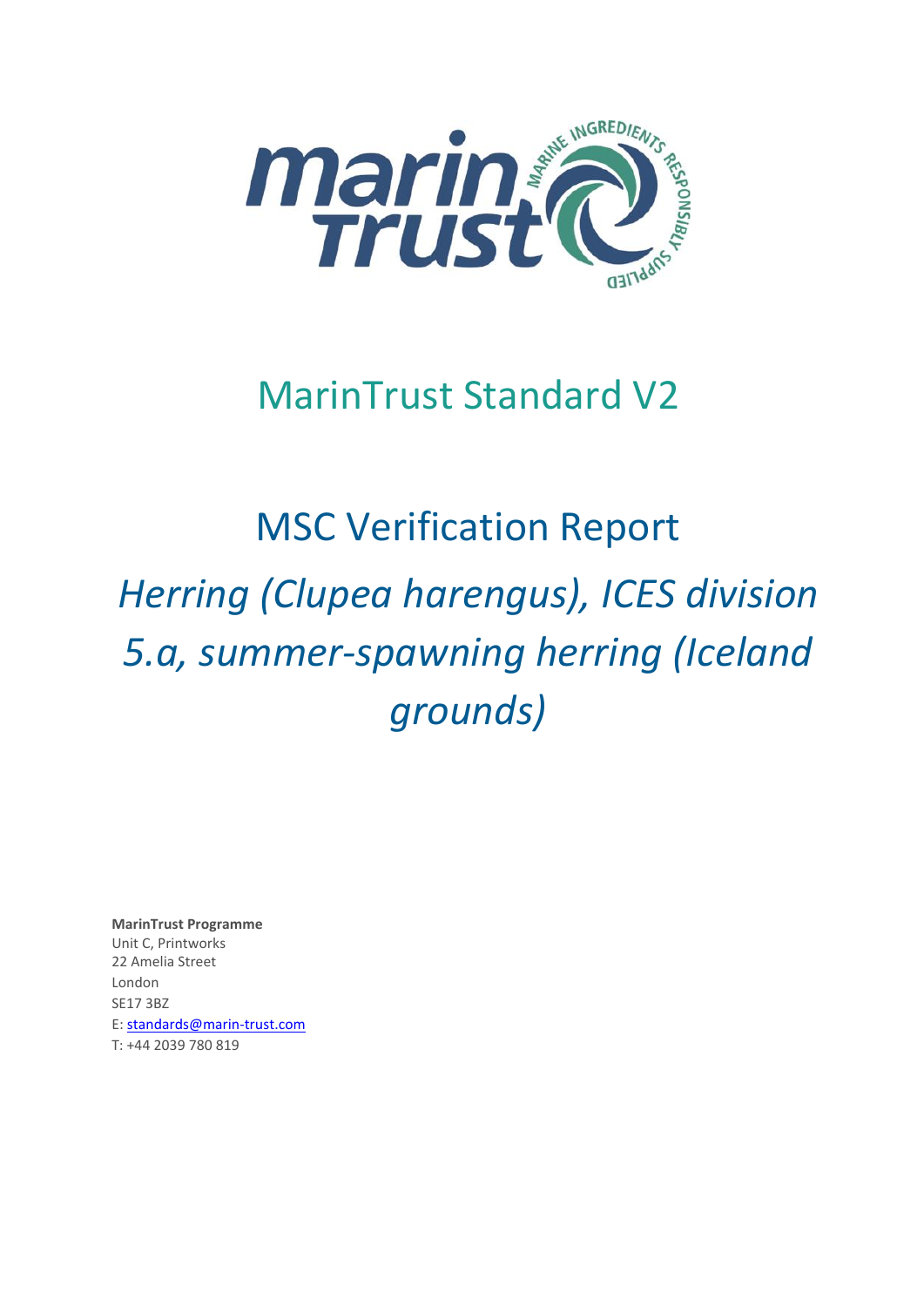

## MarinTrust Standard V2

# MSC Verification Report *Herring (Clupea harengus), ICES division 5.a, summer-spawning herring (Iceland grounds)*

**MarinTrust Programme** Unit C, Printworks 22 Amelia Street London SE17 3BZ E: standards@marin-trust.com T: +44 2039 780 819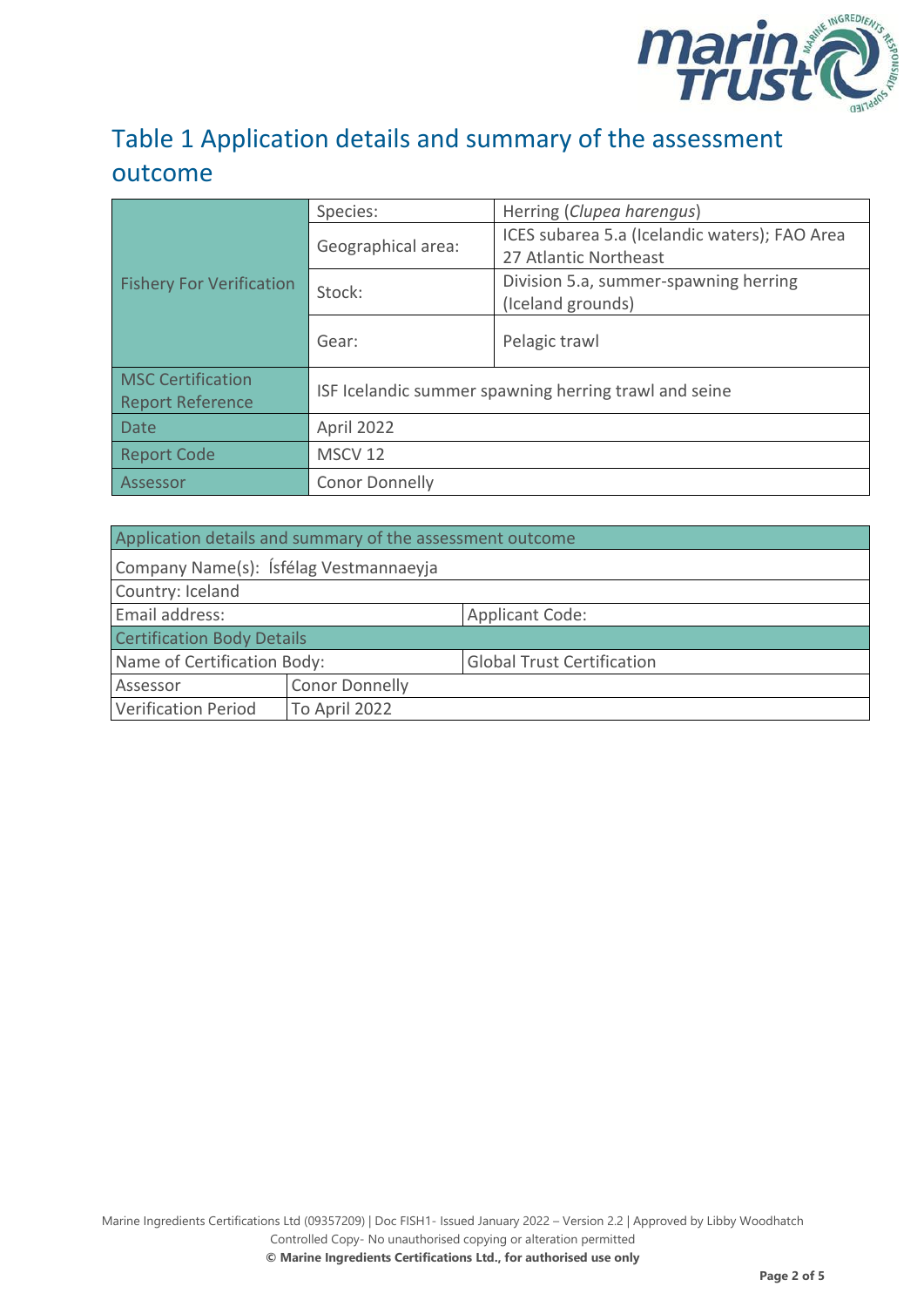

#### Table 1 Application details and summary of the assessment outcome

|                                 | Species:                                              | Herring (Clupea harengus)                     |  |
|---------------------------------|-------------------------------------------------------|-----------------------------------------------|--|
|                                 | Geographical area:                                    | ICES subarea 5.a (Icelandic waters); FAO Area |  |
|                                 |                                                       | 27 Atlantic Northeast                         |  |
| <b>Fishery For Verification</b> | Stock:                                                | Division 5.a, summer-spawning herring         |  |
|                                 |                                                       | (Iceland grounds)                             |  |
|                                 | Gear:                                                 | Pelagic trawl                                 |  |
|                                 |                                                       |                                               |  |
| <b>Report Reference</b>         | ISF Icelandic summer spawning herring trawl and seine |                                               |  |
| <b>Date</b>                     | April 2022                                            |                                               |  |
| <b>Report Code</b>              | MSCV <sub>12</sub>                                    |                                               |  |
| Assessor                        | <b>Conor Donnelly</b>                                 |                                               |  |

| Application details and summary of the assessment outcome |                       |                                   |  |
|-----------------------------------------------------------|-----------------------|-----------------------------------|--|
| Company Name(s): Ísfélag Vestmannaeyja                    |                       |                                   |  |
| Country: Iceland                                          |                       |                                   |  |
| Email address:                                            |                       | <b>Applicant Code:</b>            |  |
| <b>Certification Body Details</b>                         |                       |                                   |  |
| Name of Certification Body:                               |                       | <b>Global Trust Certification</b> |  |
| Assessor                                                  | <b>Conor Donnelly</b> |                                   |  |
| <b>Verification Period</b>                                | To April 2022         |                                   |  |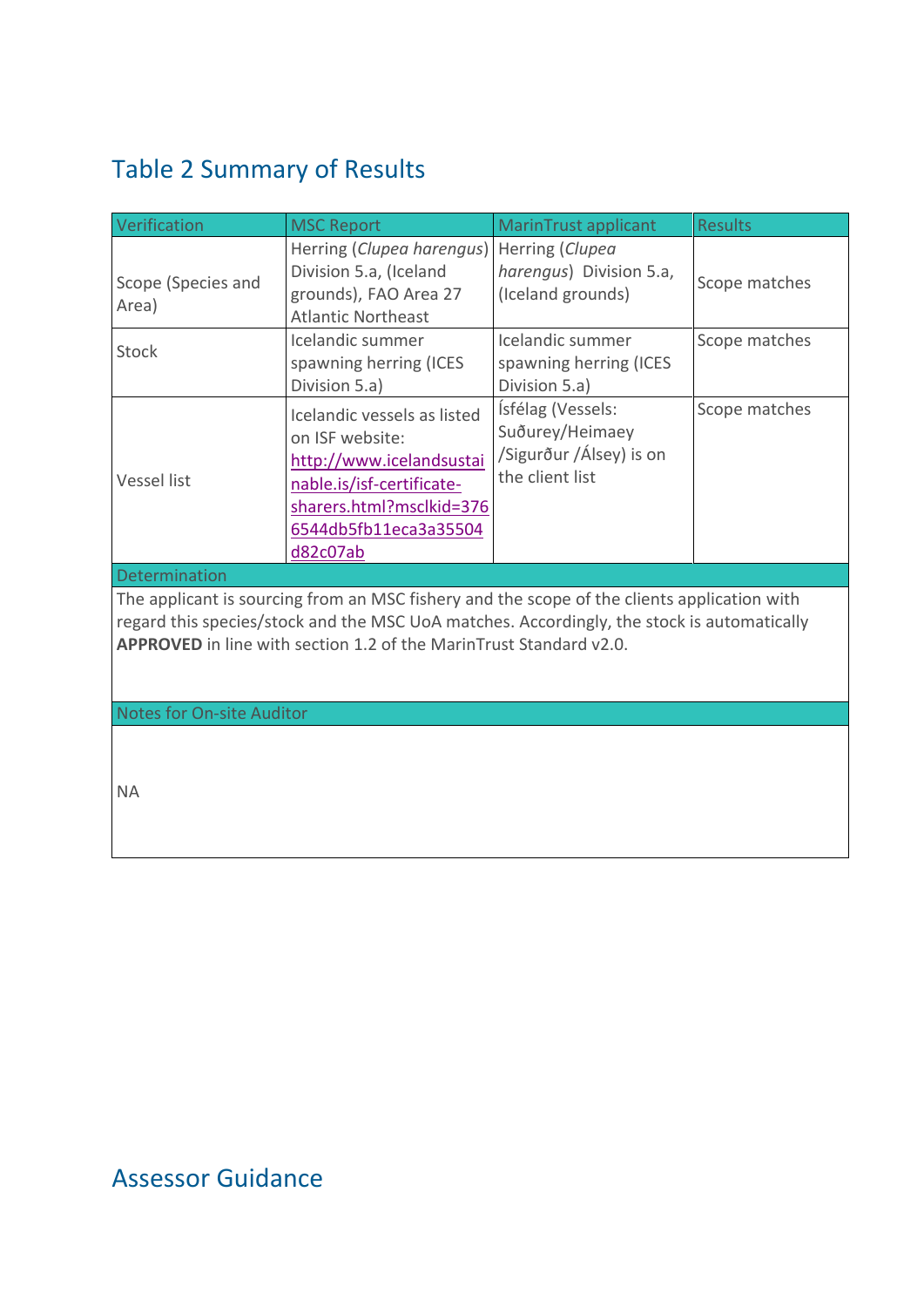### <span id="page-2-0"></span>Table 2 Summary of Results

| Verification                                                                                                                                                                                                                                                    | <b>MSC Report</b>                                                                                                                                                        | <b>MarinTrust applicant</b>                                                        | <b>Results</b> |  |
|-----------------------------------------------------------------------------------------------------------------------------------------------------------------------------------------------------------------------------------------------------------------|--------------------------------------------------------------------------------------------------------------------------------------------------------------------------|------------------------------------------------------------------------------------|----------------|--|
| Scope (Species and<br>Area)                                                                                                                                                                                                                                     | Herring (Clupea harengus)<br>Division 5.a, (Iceland<br>grounds), FAO Area 27<br><b>Atlantic Northeast</b>                                                                | Herring (Clupea<br>harengus) Division 5.a,<br>(Iceland grounds)                    | Scope matches  |  |
| Stock                                                                                                                                                                                                                                                           | Icelandic summer<br>spawning herring (ICES<br>Division 5.a)                                                                                                              | Icelandic summer<br>spawning herring (ICES<br>Division 5.a)                        | Scope matches  |  |
| Vessel list                                                                                                                                                                                                                                                     | Icelandic vessels as listed<br>on ISF website:<br>http://www.icelandsustai<br>nable.is/isf-certificate-<br>sharers.html?msclkid=376<br>6544db5fb11eca3a35504<br>d82c07ab | Ísfélag (Vessels:<br>Suðurey/Heimaey<br>/Sigurður /Álsey) is on<br>the client list | Scope matches  |  |
| Determination                                                                                                                                                                                                                                                   |                                                                                                                                                                          |                                                                                    |                |  |
| The applicant is sourcing from an MSC fishery and the scope of the clients application with<br>regard this species/stock and the MSC UoA matches. Accordingly, the stock is automatically<br>APPROVED in line with section 1.2 of the MarinTrust Standard v2.0. |                                                                                                                                                                          |                                                                                    |                |  |
| <b>Notes for On-site Auditor</b>                                                                                                                                                                                                                                |                                                                                                                                                                          |                                                                                    |                |  |
| <b>NA</b>                                                                                                                                                                                                                                                       |                                                                                                                                                                          |                                                                                    |                |  |

#### Assessor Guidance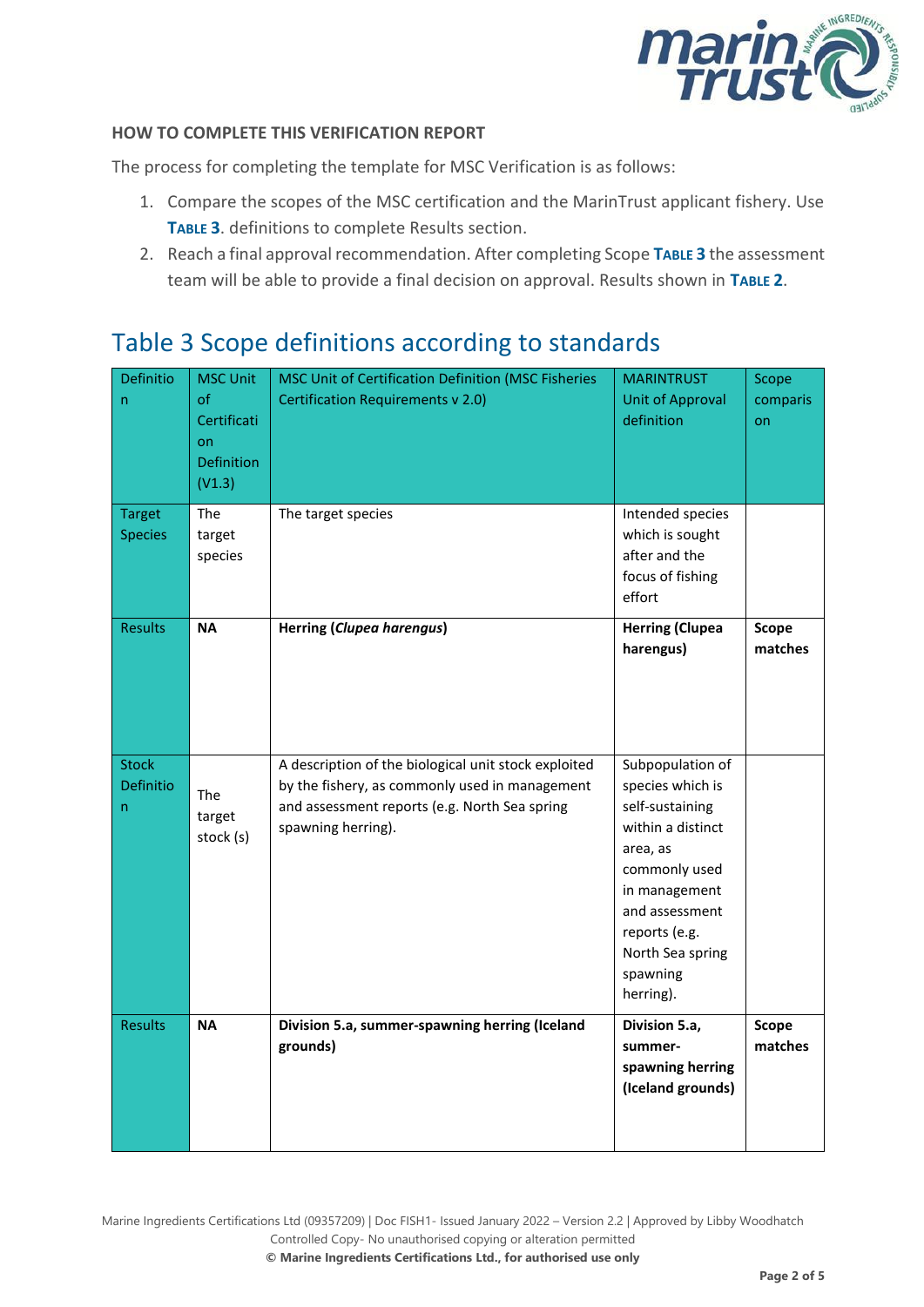

#### **HOW TO COMPLETE THIS VERIFICATION REPORT**

The process for completing the template for MSC Verification is as follows:

- 1. Compare the scopes of the MSC certification and the MarinTrust applicant fishery. Use **T[ABLE](#page-3-0) 3**. definitions to complete Results section.
- 2. Reach a final approval recommendation. After completing Scope **T[ABLE](#page-3-0) 3** the assessment team will be able to provide a final decision on approval. Results shown in **T[ABLE](#page-2-0) 2**.

#### <span id="page-3-0"></span>Table 3 Scope definitions according to standards

| Definitio<br>n<br><b>Target</b><br><b>Species</b> | <b>MSC Unit</b><br>of<br>Certificati<br>on<br><b>Definition</b><br>(V1.3)<br>The<br>target<br>species | MSC Unit of Certification Definition (MSC Fisheries<br><b>Certification Requirements v 2.0)</b><br>The target species                                                         | <b>MARINTRUST</b><br><b>Unit of Approval</b><br>definition<br>Intended species<br>which is sought<br>after and the<br>focus of fishing                                                                     | Scope<br>comparis<br>on |
|---------------------------------------------------|-------------------------------------------------------------------------------------------------------|-------------------------------------------------------------------------------------------------------------------------------------------------------------------------------|------------------------------------------------------------------------------------------------------------------------------------------------------------------------------------------------------------|-------------------------|
| <b>Results</b>                                    | <b>NA</b>                                                                                             | <b>Herring (Clupea harengus)</b>                                                                                                                                              | effort<br><b>Herring (Clupea</b><br>harengus)                                                                                                                                                              | Scope<br>matches        |
| <b>Stock</b><br>Definitio<br>n                    | <b>The</b><br>target<br>stock (s)                                                                     | A description of the biological unit stock exploited<br>by the fishery, as commonly used in management<br>and assessment reports (e.g. North Sea spring<br>spawning herring). | Subpopulation of<br>species which is<br>self-sustaining<br>within a distinct<br>area, as<br>commonly used<br>in management<br>and assessment<br>reports (e.g.<br>North Sea spring<br>spawning<br>herring). |                         |
| <b>Results</b>                                    | <b>NA</b>                                                                                             | Division 5.a, summer-spawning herring (Iceland<br>grounds)                                                                                                                    | Division 5.a,<br>summer-<br>spawning herring<br>(Iceland grounds)                                                                                                                                          | Scope<br>matches        |

Marine Ingredients Certifications Ltd (09357209) | Doc FISH1- Issued January 2022 – Version 2.2 | Approved by Libby Woodhatch Controlled Copy- No unauthorised copying or alteration permitted